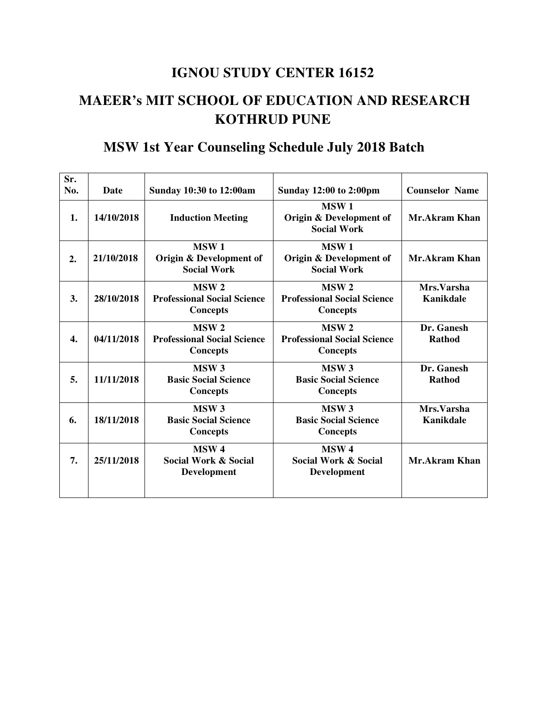#### **IGNOU STUDY CENTER 16152**

## **MAEER's MIT SCHOOL OF EDUCATION AND RESEARCH KOTHRUD PUNE**

### **MSW 1st Year Counseling Schedule July 2018 Batch**

| Sr.<br>No. | Date       | <b>Sunday 10:30 to 12:00am</b>                                            | <b>Sunday 12:00 to 2:00pm</b>                                             | <b>Counselor Name</b>       |
|------------|------------|---------------------------------------------------------------------------|---------------------------------------------------------------------------|-----------------------------|
| 1.         | 14/10/2018 | <b>Induction Meeting</b>                                                  | MSW <sub>1</sub><br>Origin & Development of<br><b>Social Work</b>         | Mr.Akram Khan               |
| 2.         | 21/10/2018 | MSW <sub>1</sub><br>Origin & Development of<br><b>Social Work</b>         | MSW <sub>1</sub><br>Origin & Development of<br><b>Social Work</b>         | <b>Mr.Akram Khan</b>        |
| 3.         | 28/10/2018 | MSW <sub>2</sub><br><b>Professional Social Science</b><br><b>Concepts</b> | MSW <sub>2</sub><br><b>Professional Social Science</b><br><b>Concepts</b> | Mrs.Varsha<br>Kanikdale     |
| 4.         | 04/11/2018 | MSW <sub>2</sub><br><b>Professional Social Science</b><br>Concepts        | MSW <sub>2</sub><br><b>Professional Social Science</b><br><b>Concepts</b> | Dr. Ganesh<br>Rathod        |
| 5.         | 11/11/2018 | MSW <sub>3</sub><br><b>Basic Social Science</b><br>Concepts               | MSW <sub>3</sub><br><b>Basic Social Science</b><br><b>Concepts</b>        | Dr. Ganesh<br><b>Rathod</b> |
| 6.         | 18/11/2018 | MSW <sub>3</sub><br><b>Basic Social Science</b><br><b>Concepts</b>        | MSW <sub>3</sub><br><b>Basic Social Science</b><br><b>Concepts</b>        | Mrs.Varsha<br>Kanikdale     |
| 7.         | 25/11/2018 | MSW <sub>4</sub><br>Social Work & Social<br>Development                   | <b>MSW4</b><br><b>Social Work &amp; Social</b><br>Development             | Mr.Akram Khan               |